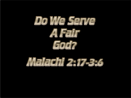

# Maladni 2-17-3-6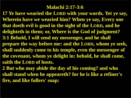#### **Malachi 2:17-3:6**

**17 Ye have wearied the LORD with your words. Yet ye say, Wherein have we wearied him? When ye say, Every one that doeth evil is good in the sight of the LORD, and he delighteth in them; or, Where is the God of judgment? 3:1 Behold, I will send my messenger, and he shall prepare the way before me: and the LORD, whom ye seek, shall suddenly come to his temple, even the messenger of the covenant, whom ye delight in: behold, he shall come, saith the LORD of hosts.**

**2 But who may abide the day of his coming? and who shall stand when he appeareth? for he is like a refiner's fire, and like fullers' soap:**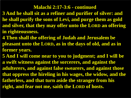#### **Malachi 2:17-3:6 - continued**

- **3 And he shall sit as a refiner and purifier of silver: and he shall purify the sons of Levi, and purge them as gold and silver, that they may offer unto the LORD an offering in righteousness.**
- **4 Then shall the offering of Judah and Jerusalem be pleasant unto the LORD, as in the days of old, and as in former years.**
- **5 And I will come near to you to judgment; and I will be a swift witness against the sorcerers, and against the adulterers, and against false swearers, and against those that oppress the hireling in his wages, the widow, and the fatherless, and that turn aside the stranger from his right, and fear not me, saith the LORD of hosts.**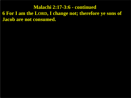**Malachi 2:17-3:6 - continued 6 For I am the LORD, I change not; therefore ye sons of Jacob are not consumed.**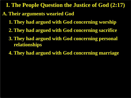**I. The People Question the Justice of God (2:17)**

- **A. Their arguments wearied God** 
	- **1. They had argued with God concerning worship**
	- **2. They had argued with God concerning sacrifice**
	- **3. They had argued with God concerning personal relationships**
	- **4. They had argued with God concerning marriage**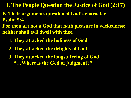**I. The People Question the Justice of God (2:17)**

- **B. Their arguments questioned God's character Psalm 5:4**
- **For thou art not a God that hath pleasure in wickedness: neither shall evil dwell with thee.**
	- **1. They attacked the holiness of God**
	- **2. They attacked the delights of God**
	- **3. They attacked the longsuffering of God "…Where is the God of judgment?"**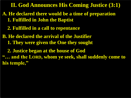**II. God Announces His Coming Justice (3:1)** 

- **A. He declared there would be a time of preparation 1. Fulfilled in John the Baptist** 
	- **2. Fulfilled in a call to repentance**
- **B. He declared the arrival of the Justifier 1. They were given the One they sought**
- **2. Justice began at the house of God "… and the LORD, whom ye seek, shall suddenly come to his temple,"**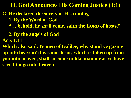**II. God Announces His Coming Justice (3:1)** 

- **C. He declared the surety of His coming**
	- **1. By the Word of God**
	- **"… behold, he shall come, saith the LORD of hosts."**
	- **2. By the angels of God**
- **Acts 1:11**

**Which also said, Ye men of Galilee, why stand ye gazing up into heaven? this same Jesus, which is taken up from you into heaven, shall so come in like manner as ye have seen him go into heaven.**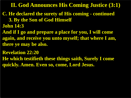#### **II. God Announces His Coming Justice (3:1)**

## **C. He declared the surety of His coming - continued**

 **3. By the Son of God Himself**

**John 14:3**

**And if I go and prepare a place for you, I will come again, and receive you unto myself; that where I am, there ye may be also.**

**Revelation 22:20**

**He which testifieth these things saith, Surely I come quickly. Amen. Even so, come, Lord Jesus.**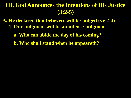**A. He declared that believers will be judged (vv 2-4) 1. Our judgment will be an intense judgment a. Who can abide the day of his coming?**

 **b. Who shall stand when he appeareth?**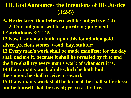**A. He declared that believers will be judged (vv 2-4) 2. Our judgment will be a purifying judgment 1 Corinthians 3:12-15 12 Now if any man build upon this foundation gold, silver, precious stones, wood, hay, stubble; 13 Every man's work shall be made manifest: for the day shall declare it, because it shall be revealed by fire; and the fire shall try every man's work of what sort it is. 14 If any man's work abide which he hath built thereupon, he shall receive a reward. 15 If any man's work shall be burned, he shall suffer loss: but he himself shall be saved; yet so as by fire.**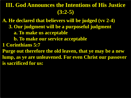**A. He declared that believers will be judged (vv 2-4) 3. Our judgment will be a purposeful judgment a. To make us acceptable b. To make our service acceptable 1 Corinthians 5:7 Purge out therefore the old leaven, that ye may be a new lump, as ye are unleavened. For even Christ our passover is sacrificed for us:**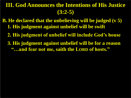- **B. He declared that the unbelieving will be judged (v 5) 1. His judgment against unbelief will be swift** 
	- **2. His judgment of unbelief will include God's house**
	- **3. His judgment against unbelief will be for a reason "…and fear not me, saith the LORD of hosts."**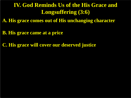#### **IV. God Reminds Us of the His Grace and Longsuffering (3:6)**

**A. His grace comes out of His unchanging character** 

**B. His grace came at a price** 

**C. His grace will cover our deserved justice**